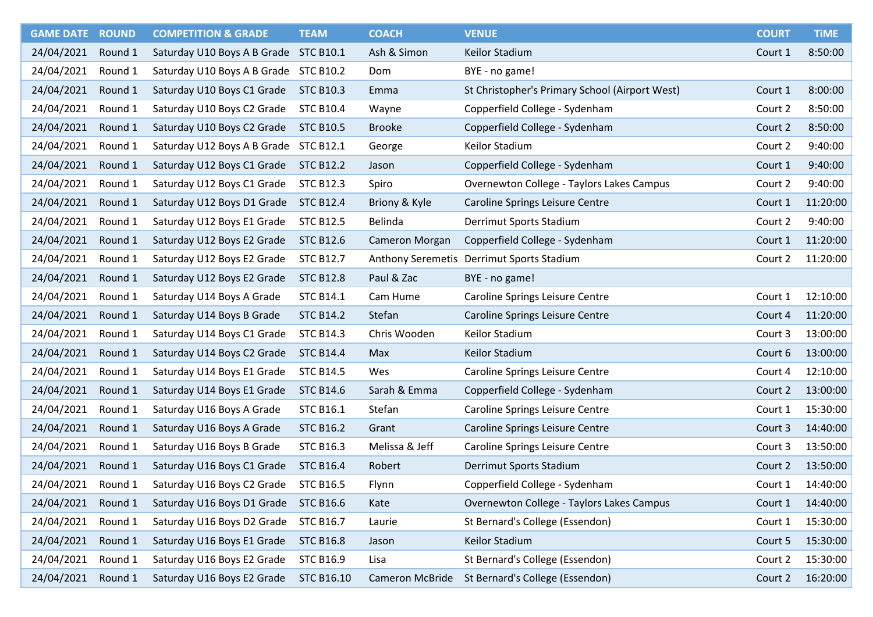| <b>GAME DATE</b> | <b>ROUND</b> | <b>COMPETITION &amp; GRADE</b> | <b>TEAM</b>       | <b>COACH</b>           | <b>VENUE</b>                                   | <b>COURT</b> | <b>TIME</b> |
|------------------|--------------|--------------------------------|-------------------|------------------------|------------------------------------------------|--------------|-------------|
| 24/04/2021       | Round 1      | Saturday U10 Boys A B Grade    | <b>STC B10.1</b>  | Ash & Simon            | Keilor Stadium                                 | Court 1      | 8:50:00     |
| 24/04/2021       | Round 1      | Saturday U10 Boys A B Grade    | <b>STC B10.2</b>  | Dom                    | BYE - no game!                                 |              |             |
| 24/04/2021       | Round 1      | Saturday U10 Boys C1 Grade     | <b>STC B10.3</b>  | Emma                   | St Christopher's Primary School (Airport West) | Court 1      | 8:00:00     |
| 24/04/2021       | Round 1      | Saturday U10 Boys C2 Grade     | <b>STC B10.4</b>  | Wayne                  | Copperfield College - Sydenham                 | Court 2      | 8:50:00     |
| 24/04/2021       | Round 1      | Saturday U10 Boys C2 Grade     | <b>STC B10.5</b>  | <b>Brooke</b>          | Copperfield College - Sydenham                 | Court 2      | 8:50:00     |
| 24/04/2021       | Round 1      | Saturday U12 Boys A B Grade    | <b>STC B12.1</b>  | George                 | Keilor Stadium                                 | Court 2      | 9:40:00     |
| 24/04/2021       | Round 1      | Saturday U12 Boys C1 Grade     | <b>STC B12.2</b>  | Jason                  | Copperfield College - Sydenham                 | Court 1      | 9:40:00     |
| 24/04/2021       | Round 1      | Saturday U12 Boys C1 Grade     | <b>STC B12.3</b>  | Spiro                  | Overnewton College - Taylors Lakes Campus      | Court 2      | 9:40:00     |
| 24/04/2021       | Round 1      | Saturday U12 Boys D1 Grade     | <b>STC B12.4</b>  | Briony & Kyle          | Caroline Springs Leisure Centre                | Court 1      | 11:20:00    |
| 24/04/2021       | Round 1      | Saturday U12 Boys E1 Grade     | <b>STC B12.5</b>  | <b>Belinda</b>         | Derrimut Sports Stadium                        | Court 2      | 9:40:00     |
| 24/04/2021       | Round 1      | Saturday U12 Boys E2 Grade     | <b>STC B12.6</b>  | Cameron Morgan         | Copperfield College - Sydenham                 | Court 1      | 11:20:00    |
| 24/04/2021       | Round 1      | Saturday U12 Boys E2 Grade     | <b>STC B12.7</b>  |                        | Anthony Seremetis Derrimut Sports Stadium      | Court 2      | 11:20:00    |
| 24/04/2021       | Round 1      | Saturday U12 Boys E2 Grade     | <b>STC B12.8</b>  | Paul & Zac             | BYE - no game!                                 |              |             |
| 24/04/2021       | Round 1      | Saturday U14 Boys A Grade      | <b>STC B14.1</b>  | Cam Hume               | Caroline Springs Leisure Centre                | Court 1      | 12:10:00    |
| 24/04/2021       | Round 1      | Saturday U14 Boys B Grade      | <b>STC B14.2</b>  | Stefan                 | Caroline Springs Leisure Centre                | Court 4      | 11:20:00    |
| 24/04/2021       | Round 1      | Saturday U14 Boys C1 Grade     | <b>STC B14.3</b>  | Chris Wooden           | Keilor Stadium                                 | Court 3      | 13:00:00    |
| 24/04/2021       | Round 1      | Saturday U14 Boys C2 Grade     | <b>STC B14.4</b>  | Max                    | Keilor Stadium                                 | Court 6      | 13:00:00    |
| 24/04/2021       | Round 1      | Saturday U14 Boys E1 Grade     | <b>STC B14.5</b>  | Wes                    | Caroline Springs Leisure Centre                | Court 4      | 12:10:00    |
| 24/04/2021       | Round 1      | Saturday U14 Boys E1 Grade     | <b>STC B14.6</b>  | Sarah & Emma           | Copperfield College - Sydenham                 | Court 2      | 13:00:00    |
| 24/04/2021       | Round 1      | Saturday U16 Boys A Grade      | <b>STC B16.1</b>  | Stefan                 | Caroline Springs Leisure Centre                | Court 1      | 15:30:00    |
| 24/04/2021       | Round 1      | Saturday U16 Boys A Grade      | <b>STC B16.2</b>  | Grant                  | Caroline Springs Leisure Centre                | Court 3      | 14:40:00    |
| 24/04/2021       | Round 1      | Saturday U16 Boys B Grade      | <b>STC B16.3</b>  | Melissa & Jeff         | Caroline Springs Leisure Centre                | Court 3      | 13:50:00    |
| 24/04/2021       | Round 1      | Saturday U16 Boys C1 Grade     | <b>STC B16.4</b>  | Robert                 | Derrimut Sports Stadium                        | Court 2      | 13:50:00    |
| 24/04/2021       | Round 1      | Saturday U16 Boys C2 Grade     | <b>STC B16.5</b>  | Flynn                  | Copperfield College - Sydenham                 | Court 1      | 14:40:00    |
| 24/04/2021       | Round 1      | Saturday U16 Boys D1 Grade     | <b>STC B16.6</b>  | Kate                   | Overnewton College - Taylors Lakes Campus      | Court 1      | 14:40:00    |
| 24/04/2021       | Round 1      | Saturday U16 Boys D2 Grade     | <b>STC B16.7</b>  | Laurie                 | St Bernard's College (Essendon)                | Court 1      | 15:30:00    |
| 24/04/2021       | Round 1      | Saturday U16 Boys E1 Grade     | <b>STC B16.8</b>  | Jason                  | Keilor Stadium                                 | Court 5      | 15:30:00    |
| 24/04/2021       | Round 1      | Saturday U16 Boys E2 Grade     | <b>STC B16.9</b>  | Lisa                   | St Bernard's College (Essendon)                | Court 2      | 15:30:00    |
| 24/04/2021       | Round 1      | Saturday U16 Boys E2 Grade     | <b>STC B16.10</b> | <b>Cameron McBride</b> | St Bernard's College (Essendon)                | Court 2      | 16:20:00    |